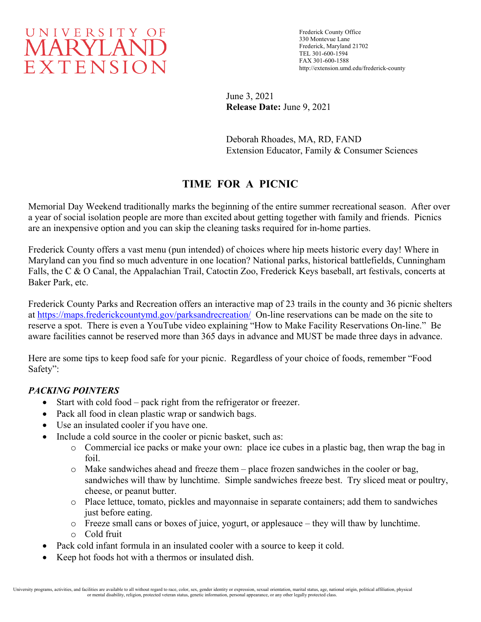

Frederick County Office 330 Montevue Lane Frederick, Maryland 21702 TEL 301-600-1594 FAX 301-600-1588 http://extension.umd.edu/frederick-county

June 3, 2021 **Release Date:** June 9, 2021

Deborah Rhoades, MA, RD, FAND Extension Educator, Family & Consumer Sciences

# **TIME FOR A PICNIC**

Memorial Day Weekend traditionally marks the beginning of the entire summer recreational season. After over a year of social isolation people are more than excited about getting together with family and friends. Picnics are an inexpensive option and you can skip the cleaning tasks required for in-home parties.

Frederick County offers a vast menu (pun intended) of choices where hip meets historic every day! Where in Maryland can you find so much adventure in one location? National parks, historical battlefields, Cunningham Falls, the C & O Canal, the Appalachian Trail, Catoctin Zoo, Frederick Keys baseball, art festivals, concerts at Baker Park, etc.

Frederick County Parks and Recreation offers an interactive map of 23 trails in the county and 36 picnic shelters at<https://maps.frederickcountymd.gov/parksandrecreation/>On-line reservations can be made on the site to reserve a spot. There is even a YouTube video explaining "How to Make Facility Reservations On-line." Be aware facilities cannot be reserved more than 365 days in advance and MUST be made three days in advance.

Here are some tips to keep food safe for your picnic. Regardless of your choice of foods, remember "Food Safety":

### *PACKING POINTERS*

- Start with cold food pack right from the refrigerator or freezer.
- Pack all food in clean plastic wrap or sandwich bags.
- Use an insulated cooler if you have one.
- Include a cold source in the cooler or picnic basket, such as:
	- o Commercial ice packs or make your own: place ice cubes in a plastic bag, then wrap the bag in foil.
	- o Make sandwiches ahead and freeze them place frozen sandwiches in the cooler or bag, sandwiches will thaw by lunchtime. Simple sandwiches freeze best. Try sliced meat or poultry, cheese, or peanut butter.
	- o Place lettuce, tomato, pickles and mayonnaise in separate containers; add them to sandwiches just before eating.
	- o Freeze small cans or boxes of juice, yogurt, or applesauce they will thaw by lunchtime.
	- o Cold fruit
- Pack cold infant formula in an insulated cooler with a source to keep it cold.
- Keep hot foods hot with a thermos or insulated dish.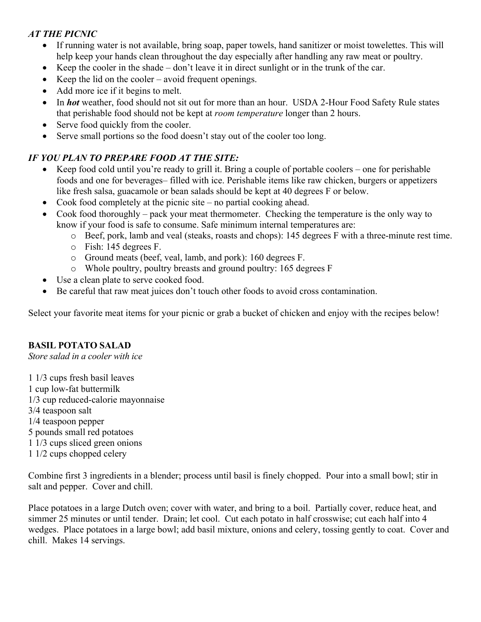# *AT THE PICNIC*

- If running water is not available, bring soap, paper towels, hand sanitizer or moist towelettes. This will help keep your hands clean throughout the day especially after handling any raw meat or poultry.
- Keep the cooler in the shade don't leave it in direct sunlight or in the trunk of the car.
- Keep the lid on the cooler avoid frequent openings.
- Add more ice if it begins to melt.
- In *hot* weather, food should not sit out for more than an hour. USDA 2-Hour Food Safety Rule states that perishable food should not be kept at *room temperature* longer than 2 hours.
- Serve food quickly from the cooler.
- Serve small portions so the food doesn't stay out of the cooler too long.

# *IF YOU PLAN TO PREPARE FOOD AT THE SITE:*

- Keep food cold until you're ready to grill it. Bring a couple of portable coolers one for perishable foods and one for beverages– filled with ice. Perishable items like raw chicken, burgers or appetizers like fresh salsa, guacamole or bean salads should be kept at 40 degrees F or below.
- Cook food completely at the picnic site no partial cooking ahead.
- Cook food thoroughly pack your meat thermometer. Checking the temperature is the only way to know if your food is safe to consume. Safe minimum internal temperatures are:
	- o Beef, pork, lamb and veal (steaks, roasts and chops): 145 degrees F with a three-minute rest time.
	- o Fish: 145 degrees F.
	- o Ground meats (beef, veal, lamb, and pork): 160 degrees F.
	- o Whole poultry, poultry breasts and ground poultry: 165 degrees F
- Use a clean plate to serve cooked food.
- Be careful that raw meat juices don't touch other foods to avoid cross contamination.

Select your favorite meat items for your picnic or grab a bucket of chicken and enjoy with the recipes below!

### **BASIL POTATO SALAD**

*Store salad in a cooler with ice*

1 1/3 cups fresh basil leaves 1 cup low-fat buttermilk 1/3 cup reduced-calorie mayonnaise 3/4 teaspoon salt 1/4 teaspoon pepper 5 pounds small red potatoes 1 1/3 cups sliced green onions 1 1/2 cups chopped celery

Combine first 3 ingredients in a blender; process until basil is finely chopped. Pour into a small bowl; stir in salt and pepper. Cover and chill.

Place potatoes in a large Dutch oven; cover with water, and bring to a boil. Partially cover, reduce heat, and simmer 25 minutes or until tender. Drain; let cool. Cut each potato in half crosswise; cut each half into 4 wedges. Place potatoes in a large bowl; add basil mixture, onions and celery, tossing gently to coat. Cover and chill. Makes 14 servings.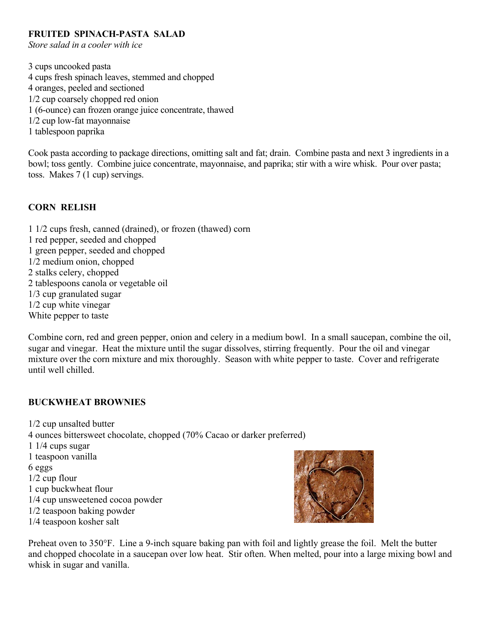#### **FRUITED SPINACH-PASTA SALAD**

*Store salad in a cooler with ice*

3 cups uncooked pasta 4 cups fresh spinach leaves, stemmed and chopped 4 oranges, peeled and sectioned 1/2 cup coarsely chopped red onion 1 (6-ounce) can frozen orange juice concentrate, thawed 1/2 cup low-fat mayonnaise 1 tablespoon paprika

Cook pasta according to package directions, omitting salt and fat; drain. Combine pasta and next 3 ingredients in a bowl; toss gently. Combine juice concentrate, mayonnaise, and paprika; stir with a wire whisk. Pour over pasta; toss. Makes 7 (1 cup) servings.

### **CORN RELISH**

1 1/2 cups fresh, canned (drained), or frozen (thawed) corn 1 red pepper, seeded and chopped 1 green pepper, seeded and chopped 1/2 medium onion, chopped 2 stalks celery, chopped 2 tablespoons canola or vegetable oil 1/3 cup granulated sugar 1/2 cup white vinegar White pepper to taste

Combine corn, red and green pepper, onion and celery in a medium bowl. In a small saucepan, combine the oil, sugar and vinegar. Heat the mixture until the sugar dissolves, stirring frequently. Pour the oil and vinegar mixture over the corn mixture and mix thoroughly. Season with white pepper to taste. Cover and refrigerate until well chilled.

#### **BUCKWHEAT BROWNIES**

1/2 cup unsalted butter 4 ounces bittersweet chocolate, chopped (70% Cacao or darker preferred) 1 1/4 cups sugar 1 teaspoon vanilla 6 eggs 1/2 cup flour 1 cup buckwheat flour 1/4 cup unsweetened cocoa powder 1/2 teaspoon baking powder 1/4 teaspoon kosher salt



Preheat oven to 350°F. Line a 9-inch square baking pan with foil and lightly grease the foil. Melt the butter and chopped chocolate in a saucepan over low heat. Stir often. When melted, pour into a large mixing bowl and whisk in sugar and vanilla.